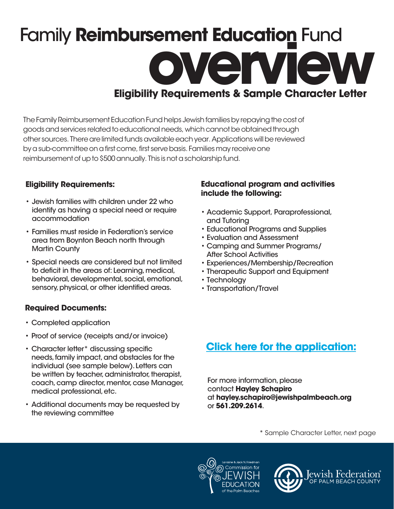# Family **Reimbursement Education** Fund **overview Eligibility Requirements & Sample Character Letter**

The Family Reimbursement Education Fund helps Jewish families by repaying the cost of goods and services related to educational needs, which cannot be obtained through other sources. There are limited funds available each year. Applications will be reviewed by a sub-committee on a first come, first serve basis. Families may receive one reimbursement of up to \$500 annually. This is not a scholarship fund.

#### **Eligibility Requirements:**

- Jewish families with children under 22 who identify as having a special need or require accommodation
- Families must reside in Federation's service area from Boynton Beach north through Martin County
- Special needs are considered but not limited to deficit in the areas of: Learning, medical, behavioral, developmental, social, emotional, sensory, physical, or other identified areas.

### **Required Documents:**

- Completed application
- Proof of service (receipts and/or invoice)
- Character letter\* discussing specific needs, family impact, and obstacles for the individual (see sample below). Letters can be written by teacher, administrator, therapist, coach, camp director, mentor, case Manager, medical professional, etc.
- Additional documents may be requested by the reviewing committee

#### **Educational program and activities include the following:**

- Academic Support, Paraprofessional, and Tutoring
- Educational Programs and Supplies
- Evaluation and Assessment
- Camping and Summer Programs/ After School Activities
- Experiences/Membership/Recreation
- Therapeutic Support and Equipment
- Technology
- Transportation/Travel

## **[Click here for the application:](https://jewishpb.smapply.io/)**

For more information, please contact **Hayley Schapiro** at **hayley.schapiro@jewishpalmbeach.org** or **561.209.2614**.

\* Sample Character Letter, next page